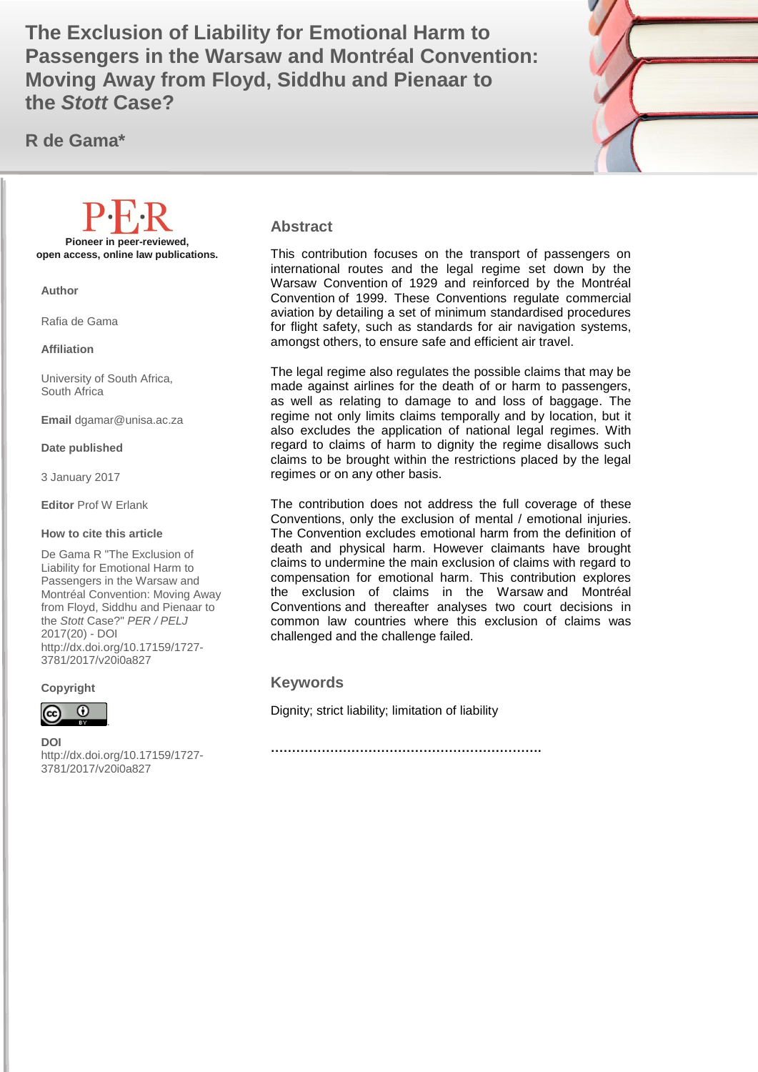Passengers in the Warsaw and Montréal Convention: **1999 The Exclusion of Liability for Emotional Harm to Moving Away from Floyd, Siddhu and Pienaar to the** *Stott* **Case?**

**R de Gama\***



#### **Abstract**

This contribution focuses on the transport of passengers on international routes and the legal regime set down by the Warsaw Convention of 1929 and reinforced by the Montréal Convention of 1999. These Conventions regulate commercial aviation by detailing a set of minimum standardised procedures for flight safety, such as standards for air navigation systems, amongst others, to ensure safe and efficient air travel.

The legal regime also regulates the possible claims that may be made against airlines for the death of or harm to passengers, as well as relating to damage to and loss of baggage. The regime not only limits claims temporally and by location, but it also excludes the application of national legal regimes. With regard to claims of harm to dignity the regime disallows such claims to be brought within the restrictions placed by the legal regimes or on any other basis.

The contribution does not address the full coverage of these Conventions, only the exclusion of mental / emotional injuries. The Convention excludes emotional harm from the definition of death and physical harm. However claimants have brought claims to undermine the main exclusion of claims with regard to compensation for emotional harm. This contribution explores the exclusion of claims in the Warsaw and Montréal Conventions and thereafter analyses two court decisions in common law countries where this exclusion of claims was challenged and the challenge failed.

#### **Keywords**

Dignity; strict liability; limitation of liability

**……………………………………………………….**

**DOI**  http://dx.doi.org/10.17159/1727- 3781/2017/v20i0a[827](http://journals.assaf.org.za/index.php/per/editor/submission/1160)

**Pioneer in peer-reviewed, open access, online law publications. Author**

Rafia de Gama

**Affiliation**

University of South Africa, South Africa

**Email** dgamar@unisa.ac.za

**Date published**

3 January 2017

**Editor** Prof W Erlank

#### **How to cite this article**

De Gama R "The Exclusion of Liability for Emotional Harm to Passengers in the Warsaw and Montréal Convention: Moving Away from Floyd, Siddhu and Pienaar to the *Stott* Case?" *PER / PELJ* 2017(20) - DOI http://dx.doi.org/10.17159/1727- 3781/2017/v20i0a[827](http://journals.assaf.org.za/index.php/per/editor/submission/1160) 

**Copyright**

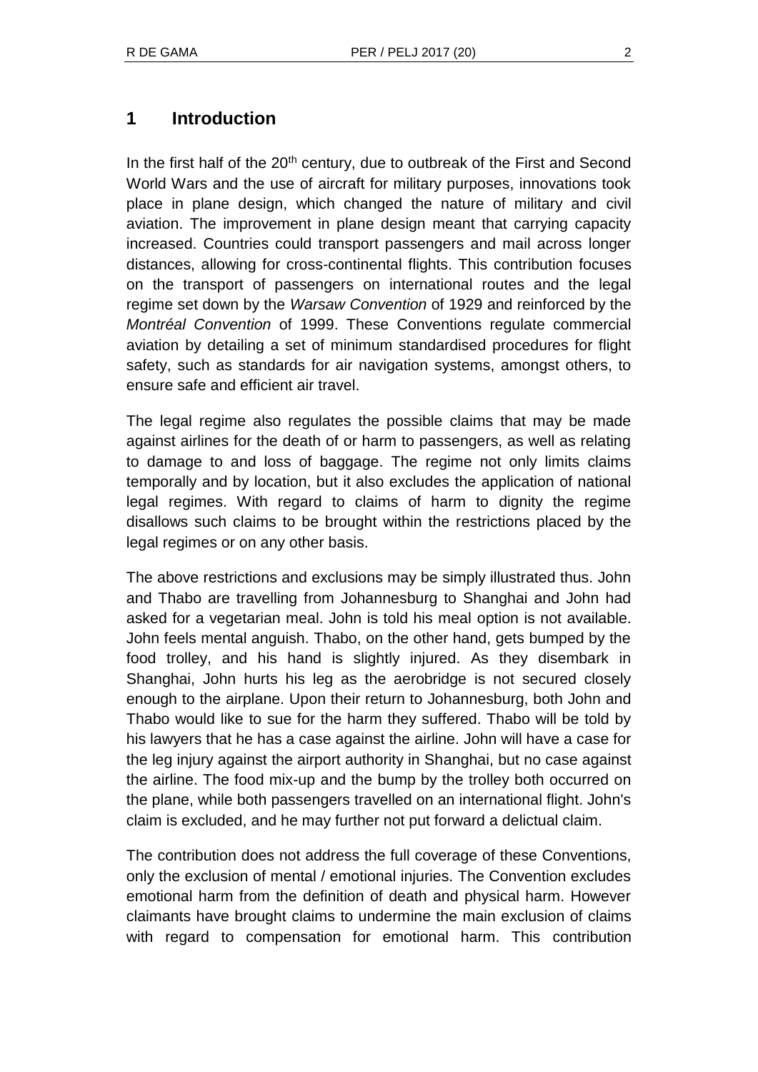# **1 Introduction**

In the first half of the 20<sup>th</sup> century, due to outbreak of the First and Second World Wars and the use of aircraft for military purposes, innovations took place in plane design, which changed the nature of military and civil aviation. The improvement in plane design meant that carrying capacity increased. Countries could transport passengers and mail across longer distances, allowing for cross-continental flights. This contribution focuses on the transport of passengers on international routes and the legal regime set down by the *Warsaw Convention* of 1929 and reinforced by the *Montréal Convention* of 1999. These Conventions regulate commercial aviation by detailing a set of minimum standardised procedures for flight safety, such as standards for air navigation systems, amongst others, to ensure safe and efficient air travel.

The legal regime also regulates the possible claims that may be made against airlines for the death of or harm to passengers, as well as relating to damage to and loss of baggage. The regime not only limits claims temporally and by location, but it also excludes the application of national legal regimes. With regard to claims of harm to dignity the regime disallows such claims to be brought within the restrictions placed by the legal regimes or on any other basis.

The above restrictions and exclusions may be simply illustrated thus. John and Thabo are travelling from Johannesburg to Shanghai and John had asked for a vegetarian meal. John is told his meal option is not available. John feels mental anguish. Thabo, on the other hand, gets bumped by the food trolley, and his hand is slightly injured. As they disembark in Shanghai, John hurts his leg as the aerobridge is not secured closely enough to the airplane. Upon their return to Johannesburg, both John and Thabo would like to sue for the harm they suffered. Thabo will be told by his lawyers that he has a case against the airline. John will have a case for the leg injury against the airport authority in Shanghai, but no case against the airline. The food mix-up and the bump by the trolley both occurred on the plane, while both passengers travelled on an international flight. John's claim is excluded, and he may further not put forward a delictual claim.

The contribution does not address the full coverage of these Conventions, only the exclusion of mental / emotional injuries. The Convention excludes emotional harm from the definition of death and physical harm. However claimants have brought claims to undermine the main exclusion of claims with regard to compensation for emotional harm. This contribution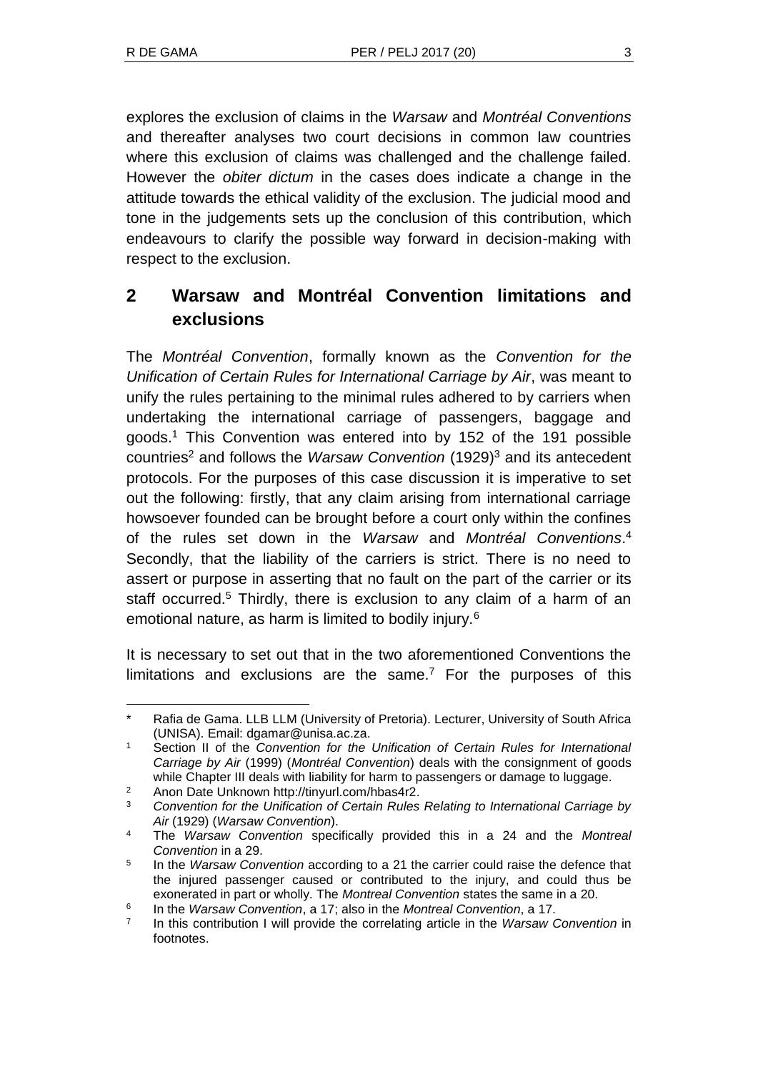explores the exclusion of claims in the *Warsaw* and *Montréal Conventions* and thereafter analyses two court decisions in common law countries where this exclusion of claims was challenged and the challenge failed. However the *obiter dictum* in the cases does indicate a change in the attitude towards the ethical validity of the exclusion. The judicial mood and tone in the judgements sets up the conclusion of this contribution, which endeavours to clarify the possible way forward in decision-making with respect to the exclusion.

# **2 Warsaw and Montréal Convention limitations and exclusions**

The *Montréal Convention*, formally known as the *Convention for the Unification of Certain Rules for International Carriage by Air*, was meant to unify the rules pertaining to the minimal rules adhered to by carriers when undertaking the international carriage of passengers, baggage and goods.<sup>1</sup> This Convention was entered into by 152 of the 191 possible countries<sup>2</sup> and follows the *Warsaw Convention* (1929)<sup>3</sup> and its antecedent protocols. For the purposes of this case discussion it is imperative to set out the following: firstly, that any claim arising from international carriage howsoever founded can be brought before a court only within the confines of the rules set down in the *Warsaw* and *Montréal Conventions*. 4 Secondly, that the liability of the carriers is strict. There is no need to assert or purpose in asserting that no fault on the part of the carrier or its staff occurred.<sup>5</sup> Thirdly, there is exclusion to any claim of a harm of an emotional nature, as harm is limited to bodily injury.<sup>6</sup>

It is necessary to set out that in the two aforementioned Conventions the limitations and exclusions are the same.<sup>7</sup> For the purposes of this

l Rafia de Gama. LLB LLM (University of Pretoria). Lecturer, University of South Africa (UNISA). Email: dgamar@unisa.ac.za.

<sup>1</sup> Section II of the *Convention for the Unification of Certain Rules for International Carriage by Air* (1999) (*Montréal Convention*) deals with the consignment of goods while Chapter III deals with liability for harm to passengers or damage to luggage.

<sup>&</sup>lt;sup>2</sup> Anon Date Unknown http://tinyurl.com/hbas4r2.<br>2. Convention for the Unification of Cortain Bulge

<sup>3</sup> *Convention for the Unification of Certain Rules Relating to International Carriage by Air* (1929) (*Warsaw Convention*).

<sup>4</sup> The *Warsaw Convention* specifically provided this in a 24 and the *Montreal Convention* in a 29.

<sup>5</sup> In the *Warsaw Convention* according to a 21 the carrier could raise the defence that the injured passenger caused or contributed to the injury, and could thus be exonerated in part or wholly. The *Montreal Convention* states the same in a 20.

<sup>6</sup> In the *Warsaw Convention*, a 17; also in the *Montreal Convention*, a 17.

<sup>7</sup> In this contribution I will provide the correlating article in the *Warsaw Convention* in footnotes.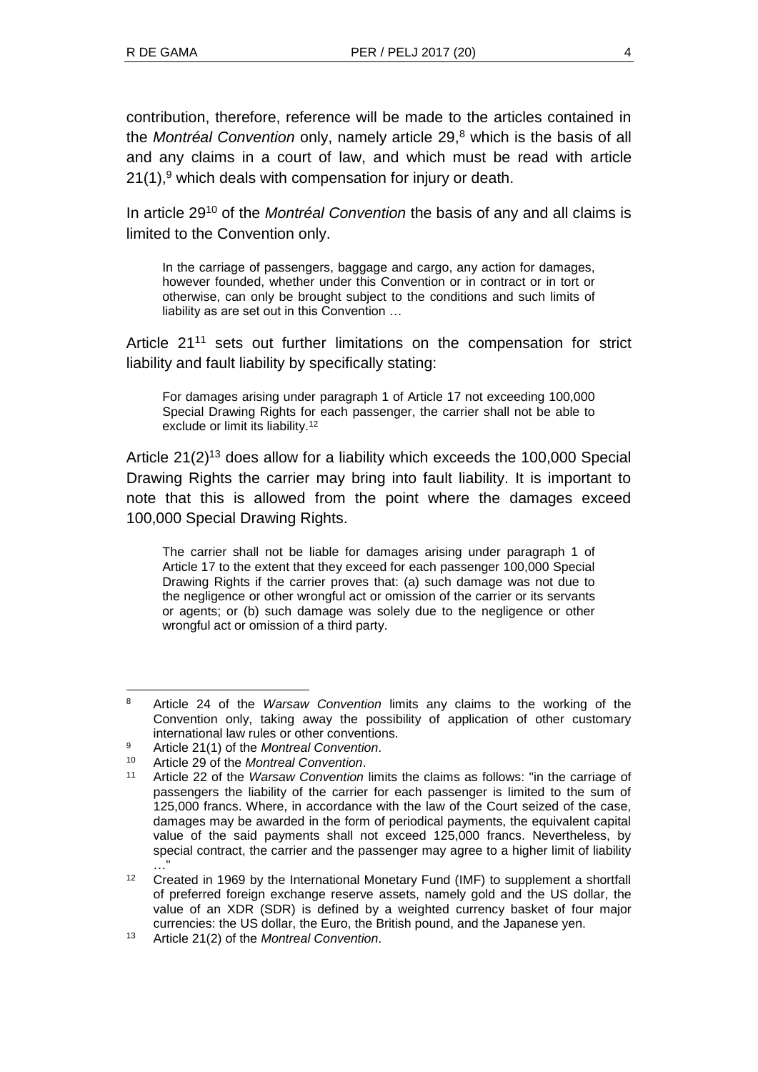contribution, therefore, reference will be made to the articles contained in the *Montréal Convention* only, namely article 29<sup>8</sup> which is the basis of all and any claims in a court of law, and which must be read with article  $21(1)$ ,<sup>9</sup> which deals with compensation for injury or death.

In article 29<sup>10</sup> of the *Montréal Convention* the basis of any and all claims is limited to the Convention only.

In the carriage of passengers, baggage and cargo, any action for damages, however founded, whether under this Convention or in contract or in tort or otherwise, can only be brought subject to the conditions and such limits of liability as are set out in this Convention …

Article 21<sup>11</sup> sets out further limitations on the compensation for strict liability and fault liability by specifically stating:

For damages arising under paragraph 1 of Article 17 not exceeding 100,000 Special Drawing Rights for each passenger, the carrier shall not be able to exclude or limit its liability.<sup>12</sup>

Article  $21(2)^{13}$  does allow for a liability which exceeds the 100,000 Special Drawing Rights the carrier may bring into fault liability. It is important to note that this is allowed from the point where the damages exceed 100,000 Special Drawing Rights.

The carrier shall not be liable for damages arising under paragraph 1 of Article 17 to the extent that they exceed for each passenger 100,000 Special Drawing Rights if the carrier proves that: (a) such damage was not due to the negligence or other wrongful act or omission of the carrier or its servants or agents; or (b) such damage was solely due to the negligence or other wrongful act or omission of a third party.

l <sup>8</sup> Article 24 of the *Warsaw Convention* limits any claims to the working of the Convention only, taking away the possibility of application of other customary international law rules or other conventions.

<sup>9</sup> Article 21(1) of the *Montreal Convention*.

<sup>10</sup> Article 29 of the *Montreal Convention*.

<sup>11</sup> Article 22 of the *Warsaw Convention* limits the claims as follows: "in the carriage of passengers the liability of the carrier for each passenger is limited to the sum of 125,000 francs. Where, in accordance with the law of the Court seized of the case, damages may be awarded in the form of periodical payments, the equivalent capital value of the said payments shall not exceed 125,000 francs. Nevertheless, by special contract, the carrier and the passenger may agree to a higher limit of liability …"

<sup>12</sup> Created in 1969 by the International Monetary Fund (IMF) to supplement a shortfall of preferred foreign exchange reserve assets, namely gold and the US dollar, the value of an XDR (SDR) is defined by a weighted currency basket of four major currencies: the US dollar, the Euro, the British pound, and the Japanese yen.

<sup>13</sup> Article 21(2) of the *Montreal Convention*.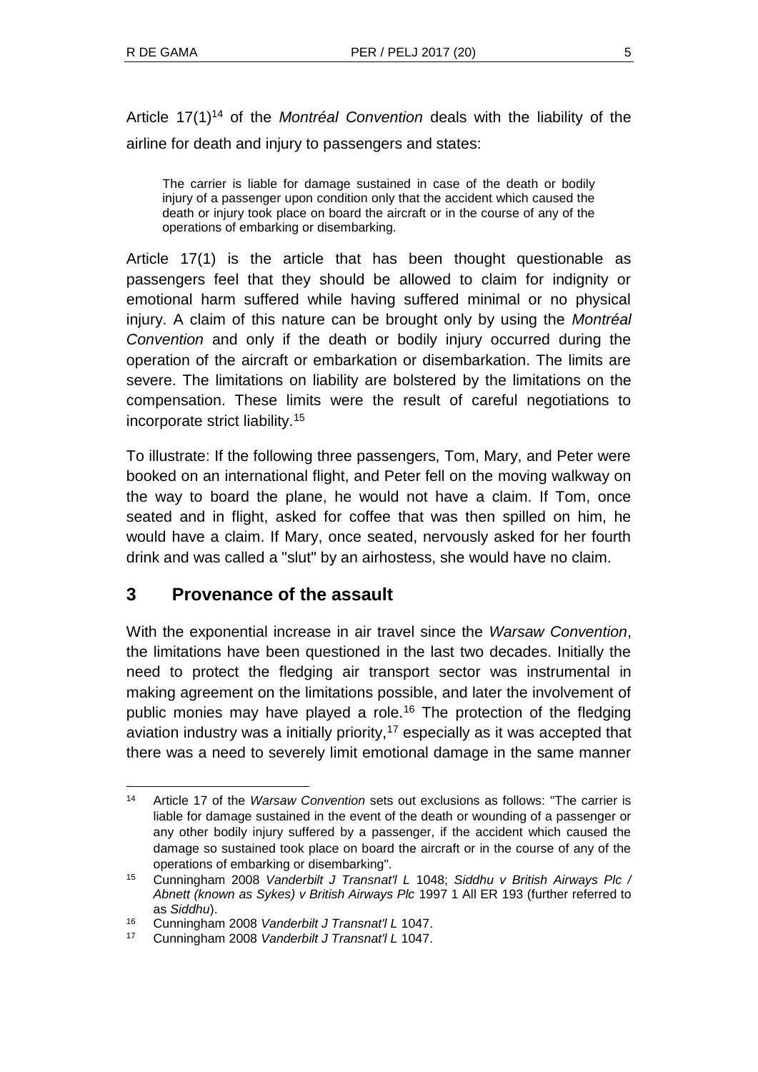Article 17(1)<sup>14</sup> of the *Montréal Convention* deals with the liability of the airline for death and injury to passengers and states:

The carrier is liable for damage sustained in case of the death or bodily injury of a passenger upon condition only that the accident which caused the death or injury took place on board the aircraft or in the course of any of the operations of embarking or disembarking.

Article 17(1) is the article that has been thought questionable as passengers feel that they should be allowed to claim for indignity or emotional harm suffered while having suffered minimal or no physical injury. A claim of this nature can be brought only by using the *Montréal Convention* and only if the death or bodily injury occurred during the operation of the aircraft or embarkation or disembarkation. The limits are severe. The limitations on liability are bolstered by the limitations on the compensation. These limits were the result of careful negotiations to incorporate strict liability.<sup>15</sup>

To illustrate: If the following three passengers, Tom, Mary, and Peter were booked on an international flight, and Peter fell on the moving walkway on the way to board the plane, he would not have a claim. If Tom, once seated and in flight, asked for coffee that was then spilled on him, he would have a claim. If Mary, once seated, nervously asked for her fourth drink and was called a "slut" by an airhostess, she would have no claim.

# **3 Provenance of the assault**

With the exponential increase in air travel since the *Warsaw Convention*, the limitations have been questioned in the last two decades. Initially the need to protect the fledging air transport sector was instrumental in making agreement on the limitations possible, and later the involvement of public monies may have played a role.<sup>16</sup> The protection of the fledging aviation industry was a initially priority, $17$  especially as it was accepted that there was a need to severely limit emotional damage in the same manner

l <sup>14</sup> Article 17 of the *Warsaw Convention* sets out exclusions as follows: "The carrier is liable for damage sustained in the event of the death or wounding of a passenger or any other bodily injury suffered by a passenger, if the accident which caused the damage so sustained took place on board the aircraft or in the course of any of the operations of embarking or disembarking".

<sup>15</sup> Cunningham 2008 *Vanderbilt J Transnat'l L* 1048; *Siddhu v British Airways Plc / Abnett (known as Sykes) v British Airways Plc* 1997 1 All ER 193 (further referred to as *Siddhu*).

<sup>16</sup> Cunningham 2008 *Vanderbilt J Transnat'l L* 1047.

<sup>17</sup> Cunningham 2008 *Vanderbilt J Transnat'l L* 1047.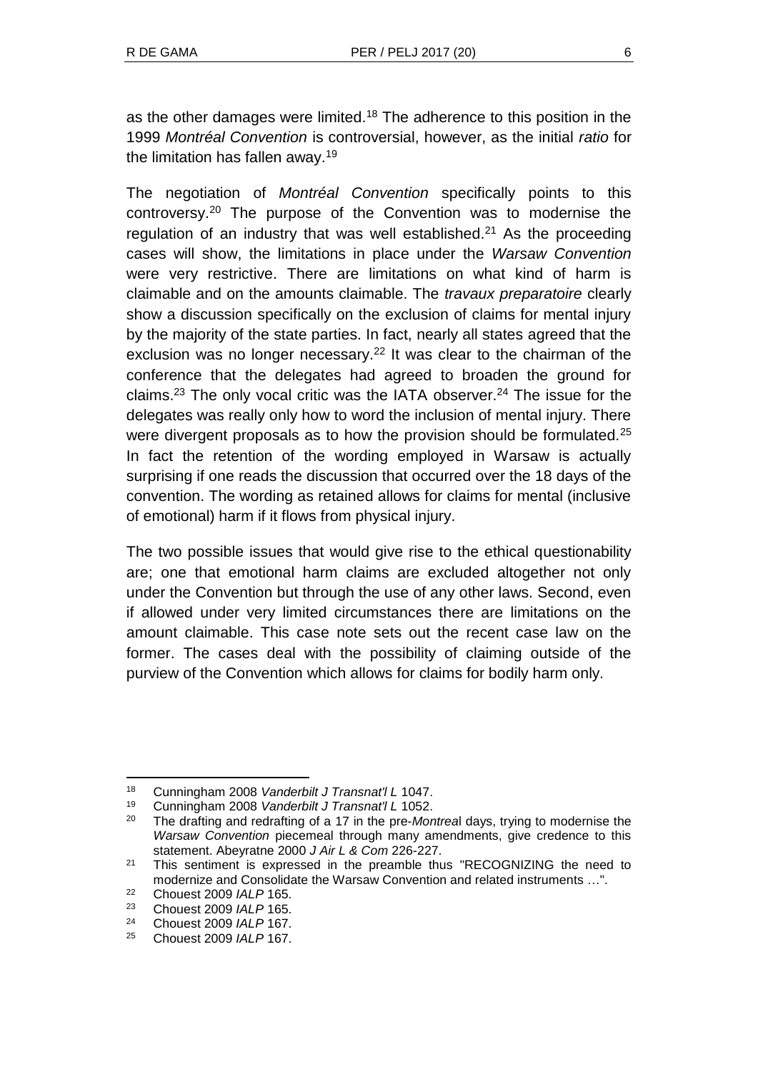as the other damages were limited.<sup>18</sup> The adherence to this position in the 1999 *Montréal Convention* is controversial, however, as the initial *ratio* for the limitation has fallen away.<sup>19</sup>

The negotiation of *Montréal Convention* specifically points to this controversy.<sup>20</sup> The purpose of the Convention was to modernise the regulation of an industry that was well established.<sup>21</sup> As the proceeding cases will show, the limitations in place under the *Warsaw Convention* were very restrictive. There are limitations on what kind of harm is claimable and on the amounts claimable. The *travaux preparatoire* clearly show a discussion specifically on the exclusion of claims for mental injury by the majority of the state parties. In fact, nearly all states agreed that the exclusion was no longer necessary.<sup>22</sup> It was clear to the chairman of the conference that the delegates had agreed to broaden the ground for claims.<sup>23</sup> The only vocal critic was the IATA observer.<sup>24</sup> The issue for the delegates was really only how to word the inclusion of mental injury. There were divergent proposals as to how the provision should be formulated.<sup>25</sup> In fact the retention of the wording employed in Warsaw is actually surprising if one reads the discussion that occurred over the 18 days of the convention. The wording as retained allows for claims for mental (inclusive of emotional) harm if it flows from physical injury.

The two possible issues that would give rise to the ethical questionability are; one that emotional harm claims are excluded altogether not only under the Convention but through the use of any other laws. Second, even if allowed under very limited circumstances there are limitations on the amount claimable. This case note sets out the recent case law on the former. The cases deal with the possibility of claiming outside of the purview of the Convention which allows for claims for bodily harm only.

<sup>18</sup> Cunningham 2008 *Vanderbilt J Transnat'l L* 1047.

<sup>19</sup> Cunningham 2008 *Vanderbilt J Transnat'l L* 1052.

<sup>20</sup> The drafting and redrafting of a 17 in the pre-*Montrea*l days, trying to modernise the *Warsaw Convention* piecemeal through many amendments, give credence to this statement. Abeyratne 2000 *J Air L & Com* 226-227.

<sup>&</sup>lt;sup>21</sup> This sentiment is expressed in the preamble thus "RECOGNIZING the need to modernize and Consolidate the Warsaw Convention and related instruments …".

<sup>22</sup> Chouest 2009 *IALP* 165.

<sup>23</sup> Chouest 2009 *IALP* 165.

<sup>24</sup> Chouest 2009 *IALP* 167.

<sup>25</sup> Chouest 2009 *IALP* 167.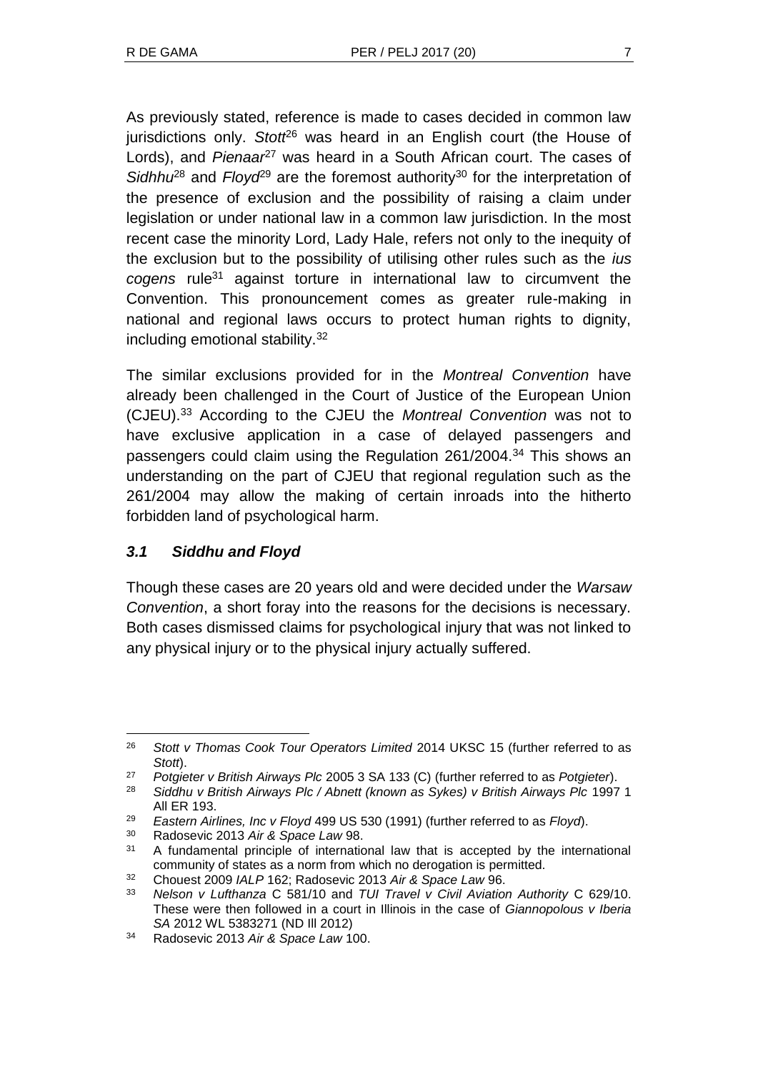As previously stated, reference is made to cases decided in common law jurisdictions only. *Stott*<sup>26</sup> was heard in an English court (the House of Lords), and *Pienaar<sup>27</sup>* was heard in a South African court. The cases of Sidhhu<sup>28</sup> and *Floyd*<sup>29</sup> are the foremost authority<sup>30</sup> for the interpretation of the presence of exclusion and the possibility of raising a claim under legislation or under national law in a common law jurisdiction. In the most recent case the minority Lord, Lady Hale, refers not only to the inequity of the exclusion but to the possibility of utilising other rules such as the *ius cogens* rule<sup>31</sup> against torture in international law to circumvent the Convention. This pronouncement comes as greater rule-making in national and regional laws occurs to protect human rights to dignity, including emotional stability.<sup>32</sup>

The similar exclusions provided for in the *Montreal Convention* have already been challenged in the Court of Justice of the European Union (CJEU).<sup>33</sup> According to the CJEU the *Montreal Convention* was not to have exclusive application in a case of delayed passengers and passengers could claim using the Regulation 261/2004.<sup>34</sup> This shows an understanding on the part of CJEU that regional regulation such as the 261/2004 may allow the making of certain inroads into the hitherto forbidden land of psychological harm.

# *3.1 Siddhu and Floyd*

Though these cases are 20 years old and were decided under the *Warsaw Convention*, a short foray into the reasons for the decisions is necessary. Both cases dismissed claims for psychological injury that was not linked to any physical injury or to the physical injury actually suffered.

<sup>30</sup> Radosevic 2013 *Air & Space Law* 98.

l <sup>26</sup> *Stott v Thomas Cook Tour Operators Limited* 2014 UKSC 15 (further referred to as *Stott*).

<sup>27</sup> *Potgieter v British Airways Plc* 2005 3 SA 133 (C) (further referred to as *Potgieter*).

<sup>28</sup> *Siddhu v British Airways Plc / Abnett (known as Sykes) v British Airways Plc* 1997 1 All ER 193.

<sup>29</sup> *Eastern Airlines, Inc v Floyd* 499 US 530 (1991) (further referred to as *Floyd*).

<sup>31</sup> A fundamental principle of international law that is accepted by the international community of states as a norm from which no derogation is permitted.

<sup>32</sup> Chouest 2009 *IALP* 162; Radosevic 2013 *Air & Space Law* 96.

<sup>33</sup> *Nelson v Lufthanza* C 581/10 and *TUI Travel v Civil Aviation Authority* C 629/10. These were then followed in a court in Illinois in the case of *Giannopolous v Iberia SA* 2012 WL 5383271 (ND Ill 2012)

<sup>34</sup> Radosevic 2013 *Air & Space Law* 100.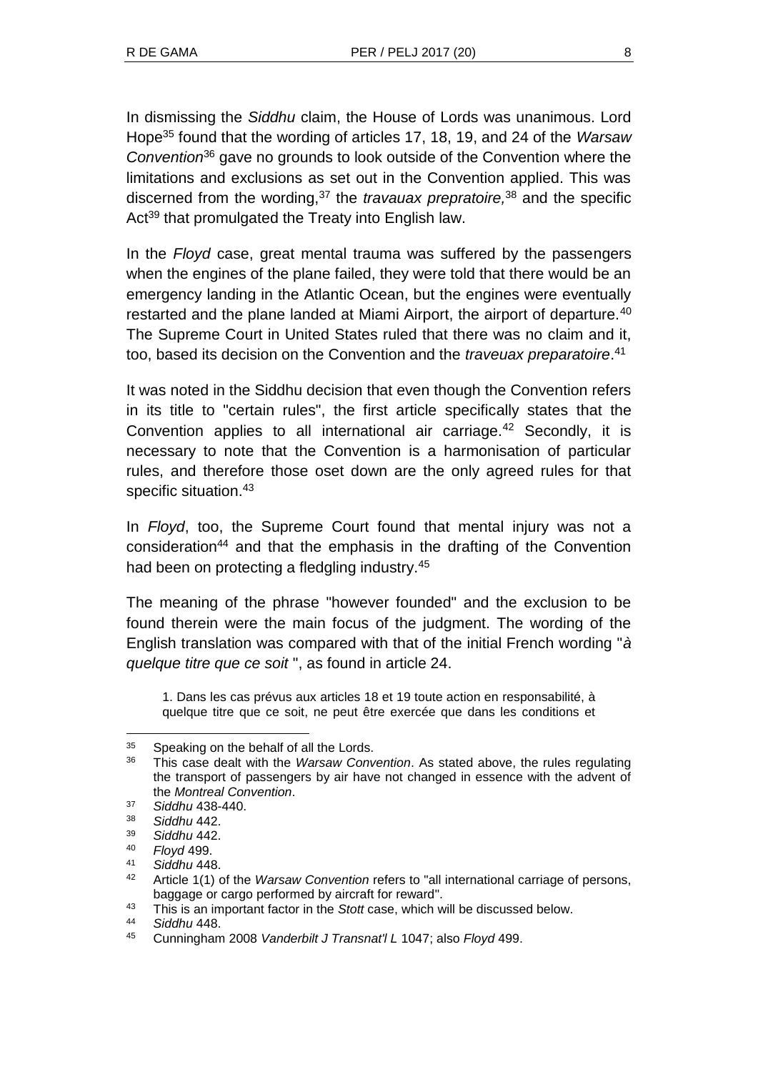In dismissing the *Siddhu* claim, the House of Lords was unanimous. Lord Hope<sup>35</sup> found that the wording of articles 17, 18, 19, and 24 of the *Warsaw Convention*<sup>36</sup> gave no grounds to look outside of the Convention where the limitations and exclusions as set out in the Convention applied. This was discerned from the wording,<sup>37</sup> the *travauax prepratoire,*<sup>38</sup> and the specific Act<sup>39</sup> that promulgated the Treaty into English law.

In the *Floyd* case, great mental trauma was suffered by the passengers when the engines of the plane failed, they were told that there would be an emergency landing in the Atlantic Ocean, but the engines were eventually restarted and the plane landed at Miami Airport, the airport of departure.<sup>40</sup> The Supreme Court in United States ruled that there was no claim and it, too, based its decision on the Convention and the *traveuax preparatoire*. 41

It was noted in the Siddhu decision that even though the Convention refers in its title to "certain rules", the first article specifically states that the Convention applies to all international air carriage.<sup>42</sup> Secondly, it is necessary to note that the Convention is a harmonisation of particular rules, and therefore those oset down are the only agreed rules for that specific situation.<sup>43</sup>

In *Floyd*, too, the Supreme Court found that mental injury was not a consideration<sup>44</sup> and that the emphasis in the drafting of the Convention had been on protecting a fledgling industry.<sup>45</sup>

The meaning of the phrase "however founded" and the exclusion to be found therein were the main focus of the judgment. The wording of the English translation was compared with that of the initial French wording "*à quelque titre que ce soit* ", as found in article 24.

1. Dans les cas prévus aux articles 18 et 19 toute action en responsabilité, à quelque titre que ce soit, ne peut être exercée que dans les conditions et

<sup>&</sup>lt;sup>35</sup> Speaking on the behalf of all the Lords.<br><sup>36</sup> This ages dealt with the *Mergeus* Com-

<sup>36</sup> This case dealt with the *Warsaw Convention*. As stated above, the rules regulating the transport of passengers by air have not changed in essence with the advent of the *Montreal Convention*.

<sup>37</sup> *Siddhu* 438-440.

<sup>38</sup> *Siddhu* 442.

<sup>39</sup> *Siddhu* 442.

<sup>40</sup> *Floyd* 499.

<sup>41</sup> *Siddhu* 448.

<sup>42</sup> Article 1(1) of the *Warsaw Convention* refers to "all international carriage of persons, baggage or cargo performed by aircraft for reward".

<sup>43</sup> This is an important factor in the *Stott* case, which will be discussed below.

<sup>44</sup> *Siddhu* 448.

<sup>45</sup> Cunningham 2008 *Vanderbilt J Transnat'l L* 1047; also *Floyd* 499.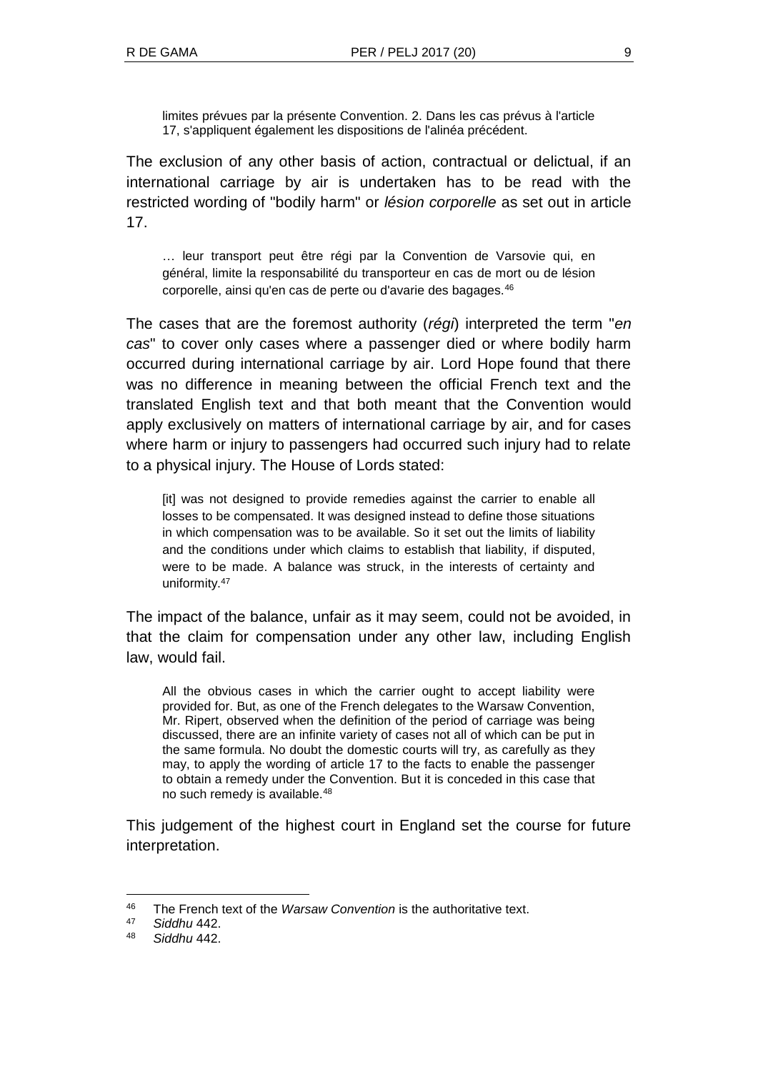limites prévues par la présente Convention. 2. Dans les cas prévus à l'article 17, s'appliquent également les dispositions de l'alinéa précédent.

The exclusion of any other basis of action, contractual or delictual, if an international carriage by air is undertaken has to be read with the restricted wording of "bodily harm" or *lésion corporelle* as set out in article 17.

… leur transport peut être régi par la Convention de Varsovie qui, en général, limite la responsabilité du transporteur en cas de mort ou de lésion corporelle, ainsi qu'en cas de perte ou d'avarie des bagages.<sup>46</sup>

The cases that are the foremost authority (*régi*) interpreted the term "*en cas*" to cover only cases where a passenger died or where bodily harm occurred during international carriage by air. Lord Hope found that there was no difference in meaning between the official French text and the translated English text and that both meant that the Convention would apply exclusively on matters of international carriage by air, and for cases where harm or injury to passengers had occurred such injury had to relate to a physical injury. The House of Lords stated:

[it] was not designed to provide remedies against the carrier to enable all losses to be compensated. It was designed instead to define those situations in which compensation was to be available. So it set out the limits of liability and the conditions under which claims to establish that liability, if disputed, were to be made. A balance was struck, in the interests of certainty and uniformity.<sup>47</sup>

The impact of the balance, unfair as it may seem, could not be avoided, in that the claim for compensation under any other law, including English law, would fail.

All the obvious cases in which the carrier ought to accept liability were provided for. But, as one of the French delegates to the Warsaw Convention, Mr. Ripert, observed when the definition of the period of carriage was being discussed, there are an infinite variety of cases not all of which can be put in the same formula. No doubt the domestic courts will try, as carefully as they may, to apply the wording of article 17 to the facts to enable the passenger to obtain a remedy under the Convention. But it is conceded in this case that no such remedy is available.<sup>48</sup>

This judgement of the highest court in England set the course for future interpretation.

 $\overline{a}$ 

<sup>46</sup> The French text of the *Warsaw Convention* is the authoritative text.

<sup>47</sup> *Siddhu* 442.

<sup>48</sup> *Siddhu* 442.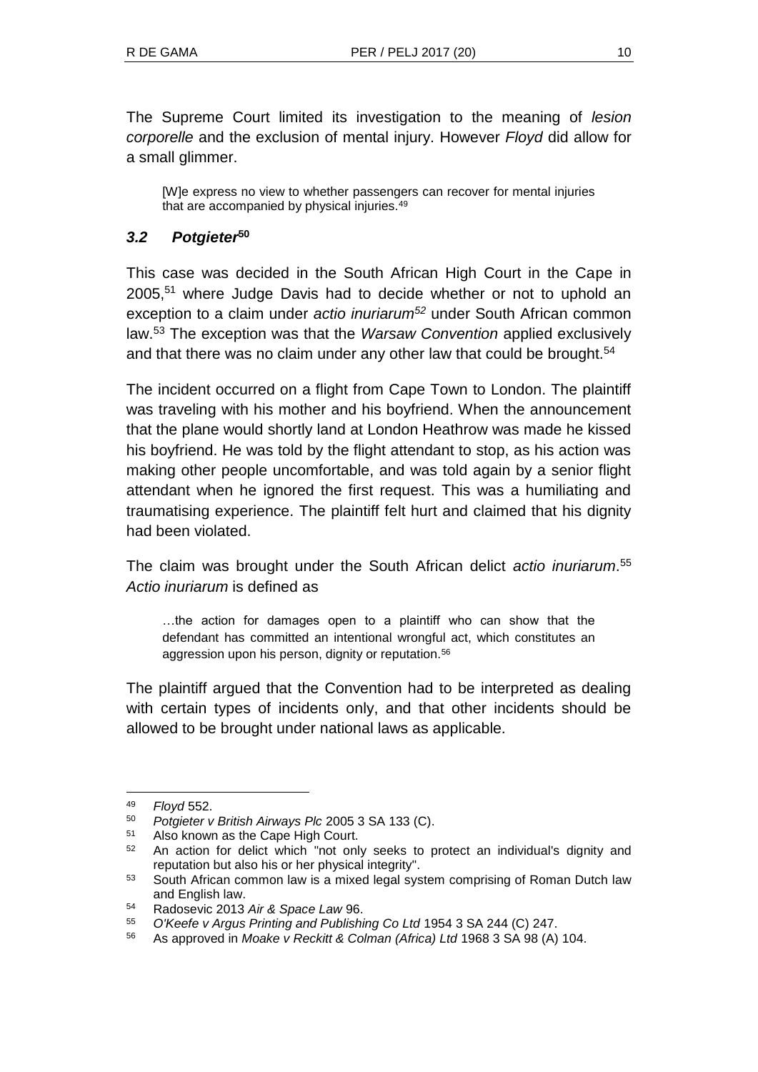The Supreme Court limited its investigation to the meaning of *lesion corporelle* and the exclusion of mental injury. However *Floyd* did allow for a small glimmer.

[W]e express no view to whether passengers can recover for mental injuries that are accompanied by physical injuries.<sup>49</sup>

### *3.2 Potgieter***<sup>50</sup>**

This case was decided in the South African High Court in the Cape in 2005,<sup>51</sup> where Judge Davis had to decide whether or not to uphold an exception to a claim under *actio inuriarum<sup>52</sup>* under South African common law.<sup>53</sup> The exception was that the *Warsaw Convention* applied exclusively and that there was no claim under any other law that could be brought.<sup>54</sup>

The incident occurred on a flight from Cape Town to London. The plaintiff was traveling with his mother and his boyfriend. When the announcement that the plane would shortly land at London Heathrow was made he kissed his boyfriend. He was told by the flight attendant to stop, as his action was making other people uncomfortable, and was told again by a senior flight attendant when he ignored the first request. This was a humiliating and traumatising experience. The plaintiff felt hurt and claimed that his dignity had been violated.

The claim was brought under the South African delict *actio inuriarum*. 55 *Actio inuriarum* is defined as

…the action for damages open to a plaintiff who can show that the defendant has committed an intentional wrongful act, which constitutes an aggression upon his person, dignity or reputation.<sup>56</sup>

The plaintiff argued that the Convention had to be interpreted as dealing with certain types of incidents only, and that other incidents should be allowed to be brought under national laws as applicable.

<sup>49</sup> *Floyd* 552.

<sup>50</sup> *Potgieter v British Airways Plc* 2005 3 SA 133 (C).

Also known as the Cape High Court.

<sup>&</sup>lt;sup>52</sup> An action for delict which "not only seeks to protect an individual's dignity and reputation but also his or her physical integrity".

<sup>53</sup> South African common law is a mixed legal system comprising of Roman Dutch law and English law.

<sup>54</sup> Radosevic 2013 *Air & Space Law* 96.

<sup>55</sup> *O'Keefe v Argus Printing and Publishing Co Ltd* 1954 3 SA 244 (C) 247.

<sup>56</sup> As approved in *Moake v Reckitt & Colman (Africa) Ltd* 1968 3 SA 98 (A) 104.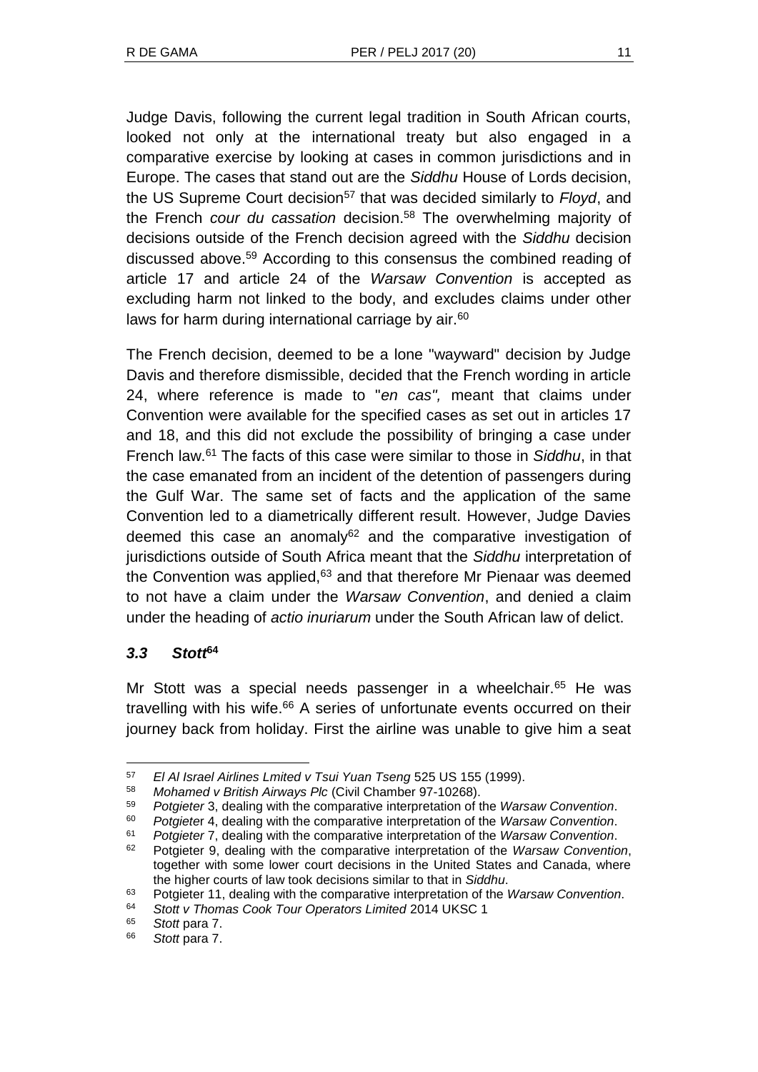Judge Davis, following the current legal tradition in South African courts, looked not only at the international treaty but also engaged in a comparative exercise by looking at cases in common jurisdictions and in Europe. The cases that stand out are the *Siddhu* House of Lords decision, the US Supreme Court decision<sup>57</sup> that was decided similarly to *Floyd*, and the French *cour du cassation* decision.<sup>58</sup> The overwhelming majority of decisions outside of the French decision agreed with the *Siddhu* decision discussed above.<sup>59</sup> According to this consensus the combined reading of article 17 and article 24 of the *Warsaw Convention* is accepted as excluding harm not linked to the body, and excludes claims under other laws for harm during international carriage by air.<sup>60</sup>

The French decision, deemed to be a lone "wayward" decision by Judge Davis and therefore dismissible, decided that the French wording in article 24, where reference is made to "*en cas",* meant that claims under Convention were available for the specified cases as set out in articles 17 and 18, and this did not exclude the possibility of bringing a case under French law.<sup>61</sup> The facts of this case were similar to those in *Siddhu*, in that the case emanated from an incident of the detention of passengers during the Gulf War. The same set of facts and the application of the same Convention led to a diametrically different result. However, Judge Davies deemed this case an anomaly $62$  and the comparative investigation of jurisdictions outside of South Africa meant that the *Siddhu* interpretation of the Convention was applied, $63$  and that therefore Mr Pienaar was deemed to not have a claim under the *Warsaw Convention*, and denied a claim under the heading of *actio inuriarum* under the South African law of delict.

# *3.3 Stott***<sup>64</sup>**

 $\overline{a}$ 

Mr Stott was a special needs passenger in a wheelchair.<sup>65</sup> He was travelling with his wife.<sup>66</sup> A series of unfortunate events occurred on their journey back from holiday. First the airline was unable to give him a seat

<sup>58</sup> *Mohamed v British Airways Plc* (Civil Chamber 97-10268).

<sup>57</sup> *El Al Israel Airlines Lmited v Tsui Yuan Tseng* 525 US 155 (1999).

<sup>59</sup> *Potgieter* 3, dealing with the comparative interpretation of the *Warsaw Convention*.

<sup>60</sup> *Potgiete*r 4, dealing with the comparative interpretation of the *Warsaw Convention*.

<sup>61</sup> *Potgieter* 7, dealing with the comparative interpretation of the *Warsaw Convention*.

<sup>62</sup> Potgieter 9, dealing with the comparative interpretation of the *Warsaw Convention*, together with some lower court decisions in the United States and Canada, where the higher courts of law took decisions similar to that in *Siddhu*.

<sup>63</sup> Potgieter 11, dealing with the comparative interpretation of the *Warsaw Convention*.

<sup>64</sup> *Stott v Thomas Cook Tour Operators Limited* 2014 UKSC 1

<sup>65</sup> *Stott* para 7.

<sup>66</sup> *Stott* para 7.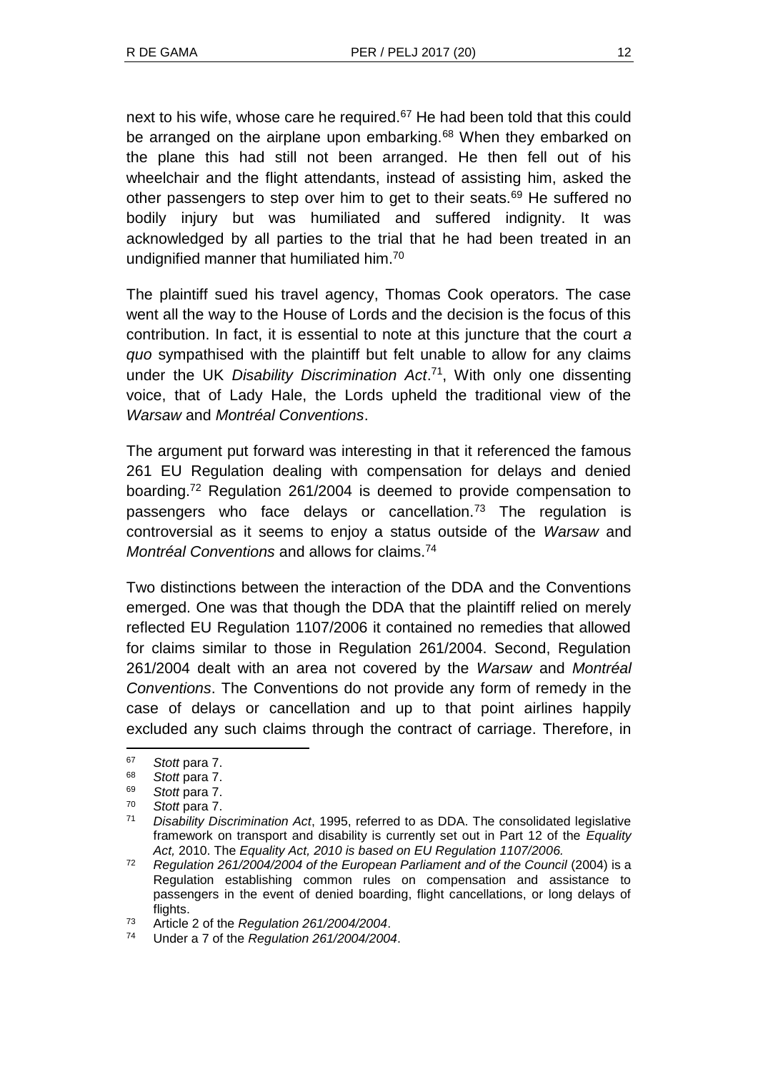next to his wife, whose care he required.<sup>67</sup> He had been told that this could be arranged on the airplane upon embarking.<sup>68</sup> When they embarked on the plane this had still not been arranged. He then fell out of his wheelchair and the flight attendants, instead of assisting him, asked the other passengers to step over him to get to their seats.<sup>69</sup> He suffered no bodily injury but was humiliated and suffered indignity. It was acknowledged by all parties to the trial that he had been treated in an undignified manner that humiliated him.<sup>70</sup>

The plaintiff sued his travel agency, Thomas Cook operators. The case went all the way to the House of Lords and the decision is the focus of this contribution. In fact, it is essential to note at this juncture that the court *a quo* sympathised with the plaintiff but felt unable to allow for any claims under the UK *Disability Discrimination Act*. 71 , With only one dissenting voice, that of Lady Hale, the Lords upheld the traditional view of the *Warsaw* and *Montréal Conventions*.

The argument put forward was interesting in that it referenced the famous 261 EU Regulation dealing with compensation for delays and denied boarding.<sup>72</sup> Regulation 261/2004 is deemed to provide compensation to passengers who face delays or cancellation. $73$  The regulation is controversial as it seems to enjoy a status outside of the *Warsaw* and *Montréal Conventions* and allows for claims.<sup>74</sup>

Two distinctions between the interaction of the DDA and the Conventions emerged. One was that though the DDA that the plaintiff relied on merely reflected EU Regulation 1107/2006 it contained no remedies that allowed for claims similar to those in Regulation 261/2004. Second, Regulation 261/2004 dealt with an area not covered by the *Warsaw* and *Montréal Conventions*. The Conventions do not provide any form of remedy in the case of delays or cancellation and up to that point airlines happily excluded any such claims through the contract of carriage. Therefore, in

<sup>67</sup> *Stott* para 7.

<sup>68</sup> *Stott* para 7.

<sup>69</sup> *Stott* para 7.

Stott para 7.

<sup>71</sup> *Disability Discrimination Act*, 1995, referred to as DDA. The consolidated legislative framework on transport and disability is currently set out in Part 12 of the *Equality Act,* 2010. The *Equality Act, 2010 is based on EU Regulation 1107/2006.*

<sup>72</sup> *Regulation 261/2004/2004 of the European Parliament and of the Council* (2004) is a Regulation establishing common rules on compensation and assistance to passengers in the event of denied boarding, flight cancellations, or long delays of flights.

<sup>73</sup> Article 2 of the *Regulation 261/2004/2004*.

<sup>74</sup> Under a 7 of the *Regulation 261/2004/2004*.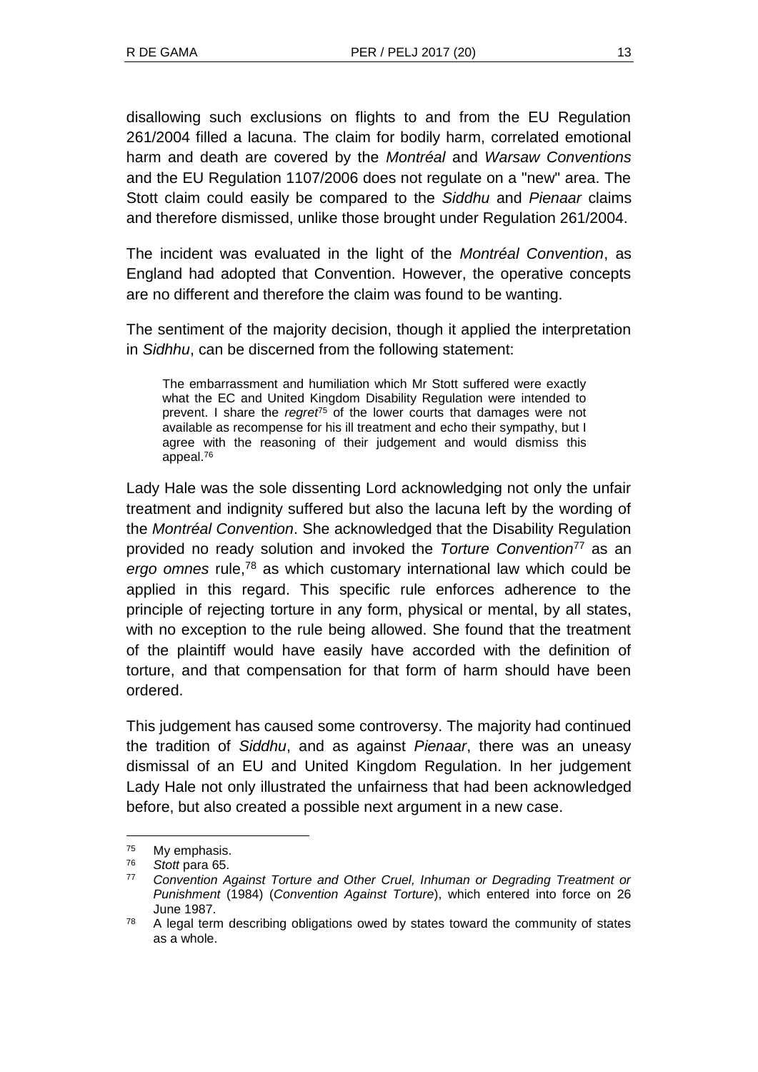disallowing such exclusions on flights to and from the EU Regulation 261/2004 filled a lacuna. The claim for bodily harm, correlated emotional harm and death are covered by the *Montréal* and *Warsaw Conventions*  and the EU Regulation 1107/2006 does not regulate on a "new" area. The Stott claim could easily be compared to the *Siddhu* and *Pienaar* claims and therefore dismissed, unlike those brought under Regulation 261/2004.

The incident was evaluated in the light of the *Montréal Convention*, as England had adopted that Convention. However, the operative concepts are no different and therefore the claim was found to be wanting.

The sentiment of the majority decision, though it applied the interpretation in *Sidhhu*, can be discerned from the following statement:

The embarrassment and humiliation which Mr Stott suffered were exactly what the EC and United Kingdom Disability Regulation were intended to prevent. I share the *regret*<sup>75</sup> of the lower courts that damages were not available as recompense for his ill treatment and echo their sympathy, but I agree with the reasoning of their judgement and would dismiss this appeal.<sup>76</sup>

Lady Hale was the sole dissenting Lord acknowledging not only the unfair treatment and indignity suffered but also the lacuna left by the wording of the *Montréal Convention*. She acknowledged that the Disability Regulation provided no ready solution and invoked the *Torture Convention*<sup>77</sup> as an *ergo omnes* rule,<sup>78</sup> as which customary international law which could be applied in this regard. This specific rule enforces adherence to the principle of rejecting torture in any form, physical or mental, by all states, with no exception to the rule being allowed. She found that the treatment of the plaintiff would have easily have accorded with the definition of torture, and that compensation for that form of harm should have been ordered.

This judgement has caused some controversy. The majority had continued the tradition of *Siddhu*, and as against *Pienaar*, there was an uneasy dismissal of an EU and United Kingdom Regulation. In her judgement Lady Hale not only illustrated the unfairness that had been acknowledged before, but also created a possible next argument in a new case.

<sup>75</sup> My emphasis.

<sup>76</sup> *Stott* para 65.

<sup>77</sup> *Convention Against Torture and Other Cruel, Inhuman or Degrading Treatment or Punishment* (1984) (*Convention Against Torture*), which entered into force on 26 June 1987.

 $78$  A legal term describing obligations owed by states toward the community of states as a whole.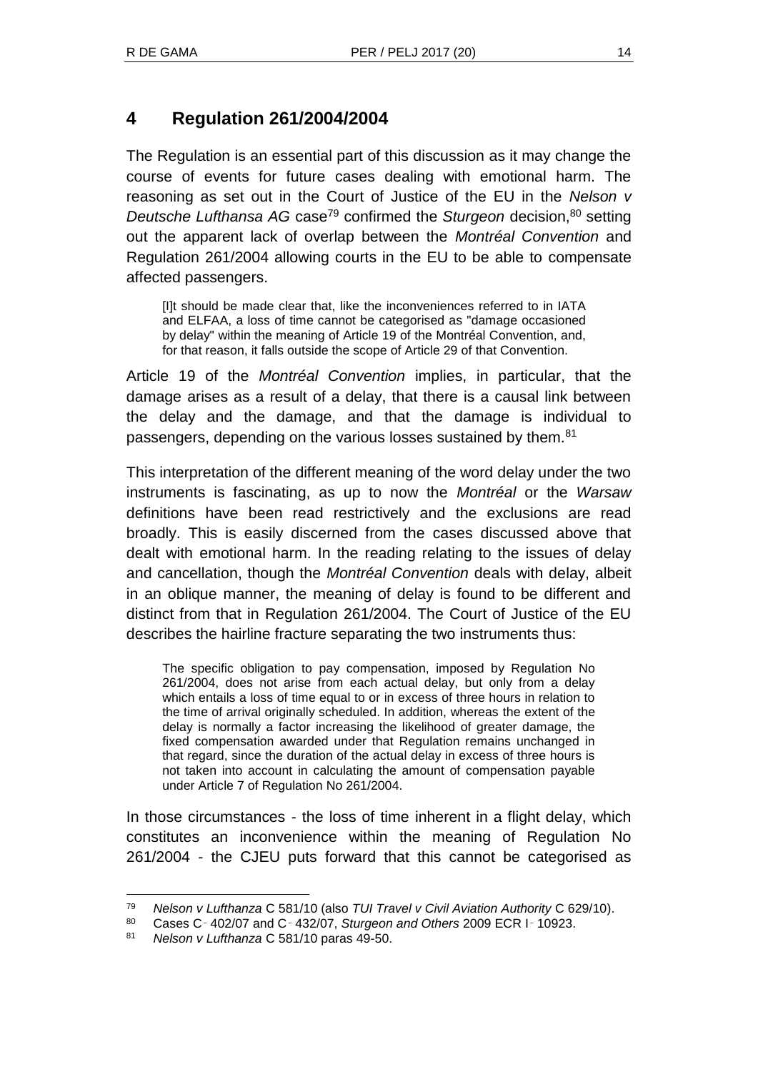# **4 Regulation 261/2004/2004**

The Regulation is an essential part of this discussion as it may change the course of events for future cases dealing with emotional harm. The reasoning as set out in the Court of Justice of the EU in the *Nelson v Deutsche Lufthansa AG* case<sup>79</sup> confirmed the *Sturgeon* decision.<sup>80</sup> setting out the apparent lack of overlap between the *Montréal Convention* and Regulation 261/2004 allowing courts in the EU to be able to compensate affected passengers.

[I]t should be made clear that, like the inconveniences referred to in IATA and ELFAA, a loss of time cannot be categorised as "damage occasioned by delay" within the meaning of Article 19 of the Montréal Convention, and, for that reason, it falls outside the scope of Article 29 of that Convention.

Article 19 of the *Montréal Convention* implies, in particular, that the damage arises as a result of a delay, that there is a causal link between the delay and the damage, and that the damage is individual to passengers, depending on the various losses sustained by them.<sup>81</sup>

This interpretation of the different meaning of the word delay under the two instruments is fascinating, as up to now the *Montréal* or the *Warsaw* definitions have been read restrictively and the exclusions are read broadly. This is easily discerned from the cases discussed above that dealt with emotional harm. In the reading relating to the issues of delay and cancellation, though the *Montréal Convention* deals with delay, albeit in an oblique manner, the meaning of delay is found to be different and distinct from that in Regulation 261/2004. The Court of Justice of the EU describes the hairline fracture separating the two instruments thus:

The specific obligation to pay compensation, imposed by Regulation No 261/2004, does not arise from each actual delay, but only from a delay which entails a loss of time equal to or in excess of three hours in relation to the time of arrival originally scheduled. In addition, whereas the extent of the delay is normally a factor increasing the likelihood of greater damage, the fixed compensation awarded under that Regulation remains unchanged in that regard, since the duration of the actual delay in excess of three hours is not taken into account in calculating the amount of compensation payable under Article 7 of Regulation No 261/2004.

In those circumstances - the loss of time inherent in a flight delay, which constitutes an inconvenience within the meaning of Regulation No 261/2004 - the CJEU puts forward that this cannot be categorised as

<sup>79</sup> *Nelson v Lufthanza* C 581/10 (also *TUI Travel v Civil Aviation Authority* C 629/10).

<sup>80</sup> Cases C‑ 402/07 and C‑ 432/07, *Sturgeon and Others* 2009 ECR I‑ 10923.

<sup>81</sup> *Nelson v Lufthanza* C 581/10 paras 49-50.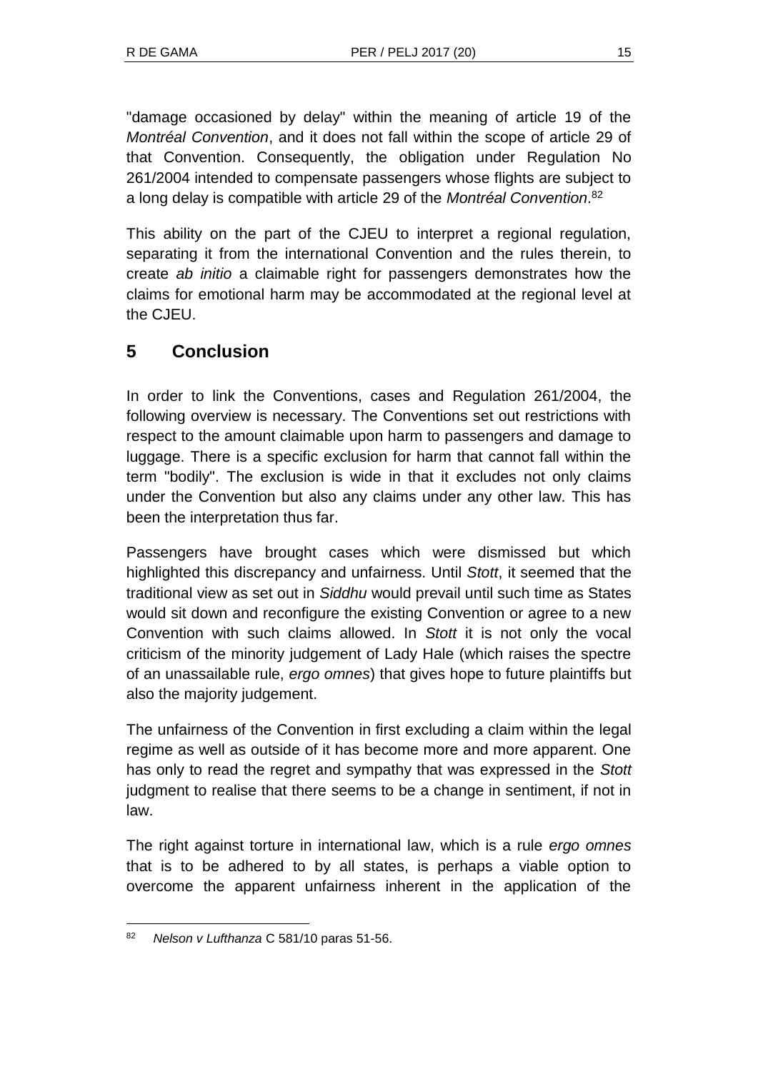"damage occasioned by delay" within the meaning of article 19 of the *Montréal Convention*, and it does not fall within the scope of article 29 of that Convention. Consequently, the obligation under Regulation No 261/2004 intended to compensate passengers whose flights are subject to a long delay is compatible with article 29 of the *Montréal Convention*. 82

This ability on the part of the CJEU to interpret a regional regulation, separating it from the international Convention and the rules therein, to create *ab initio* a claimable right for passengers demonstrates how the claims for emotional harm may be accommodated at the regional level at the CJEU.

# **5 Conclusion**

In order to link the Conventions, cases and Regulation 261/2004, the following overview is necessary. The Conventions set out restrictions with respect to the amount claimable upon harm to passengers and damage to luggage. There is a specific exclusion for harm that cannot fall within the term "bodily". The exclusion is wide in that it excludes not only claims under the Convention but also any claims under any other law. This has been the interpretation thus far.

Passengers have brought cases which were dismissed but which highlighted this discrepancy and unfairness. Until *Stott*, it seemed that the traditional view as set out in *Siddhu* would prevail until such time as States would sit down and reconfigure the existing Convention or agree to a new Convention with such claims allowed. In *Stott* it is not only the vocal criticism of the minority judgement of Lady Hale (which raises the spectre of an unassailable rule, *ergo omnes*) that gives hope to future plaintiffs but also the majority judgement.

The unfairness of the Convention in first excluding a claim within the legal regime as well as outside of it has become more and more apparent. One has only to read the regret and sympathy that was expressed in the *Stott* judgment to realise that there seems to be a change in sentiment, if not in law.

The right against torture in international law, which is a rule *ergo omnes* that is to be adhered to by all states, is perhaps a viable option to overcome the apparent unfairness inherent in the application of the

l <sup>82</sup> *Nelson v Lufthanza* C 581/10 paras 51-56.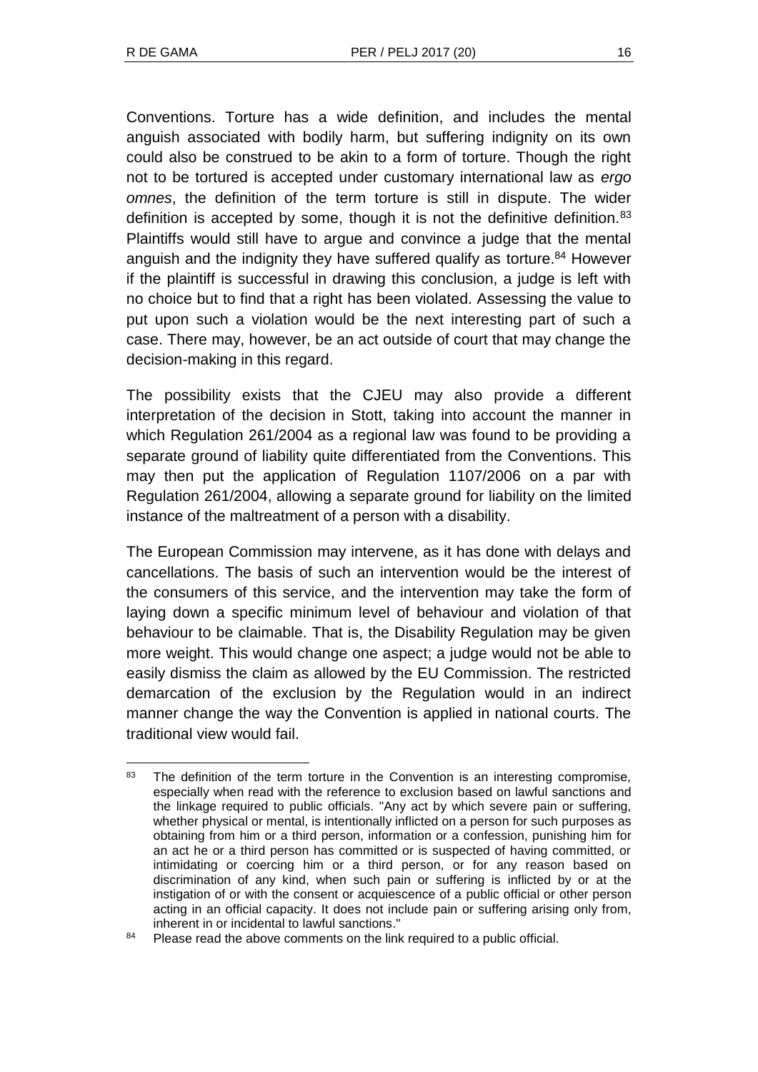Conventions. Torture has a wide definition, and includes the mental anguish associated with bodily harm, but suffering indignity on its own could also be construed to be akin to a form of torture. Though the right not to be tortured is accepted under customary international law as *ergo omnes*, the definition of the term torture is still in dispute. The wider definition is accepted by some, though it is not the definitive definition.<sup>83</sup> Plaintiffs would still have to argue and convince a judge that the mental anguish and the indignity they have suffered qualify as torture.<sup>84</sup> However if the plaintiff is successful in drawing this conclusion, a judge is left with no choice but to find that a right has been violated. Assessing the value to put upon such a violation would be the next interesting part of such a case. There may, however, be an act outside of court that may change the decision-making in this regard.

The possibility exists that the CJEU may also provide a different interpretation of the decision in Stott, taking into account the manner in which Regulation 261/2004 as a regional law was found to be providing a separate ground of liability quite differentiated from the Conventions. This may then put the application of Regulation 1107/2006 on a par with Regulation 261/2004, allowing a separate ground for liability on the limited instance of the maltreatment of a person with a disability.

The European Commission may intervene, as it has done with delays and cancellations. The basis of such an intervention would be the interest of the consumers of this service, and the intervention may take the form of laying down a specific minimum level of behaviour and violation of that behaviour to be claimable. That is, the Disability Regulation may be given more weight. This would change one aspect; a judge would not be able to easily dismiss the claim as allowed by the EU Commission. The restricted demarcation of the exclusion by the Regulation would in an indirect manner change the way the Convention is applied in national courts. The traditional view would fail.

 $\overline{a}$ 83 The definition of the term torture in the Convention is an interesting compromise, especially when read with the reference to exclusion based on lawful sanctions and the linkage required to public officials. "Any act by which severe pain or suffering, whether physical or mental, is intentionally inflicted on a person for such purposes as obtaining from him or a third person, information or a confession, punishing him for an act he or a third person has committed or is suspected of having committed, or intimidating or coercing him or a third person, or for any reason based on discrimination of any kind, when such pain or suffering is inflicted by or at the instigation of or with the consent or acquiescence of a public official or other person acting in an official capacity. It does not include pain or suffering arising only from, inherent in or incidental to lawful sanctions."

<sup>84</sup> Please read the above comments on the link required to a public official.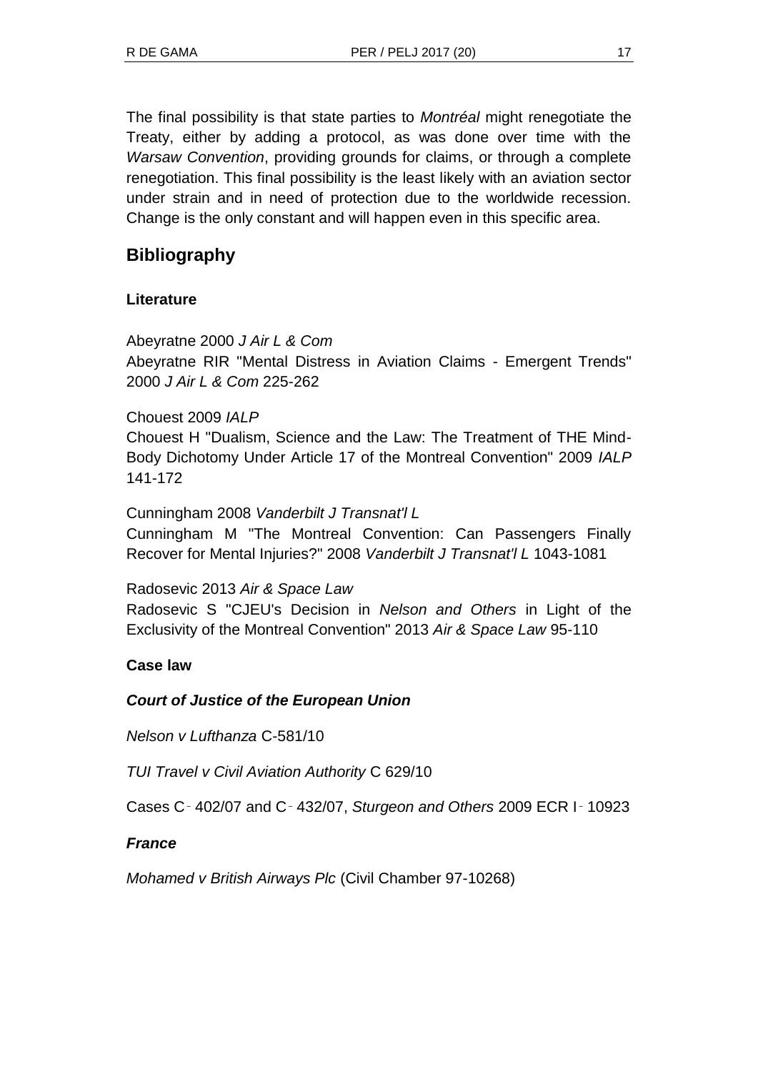The final possibility is that state parties to *Montréal* might renegotiate the Treaty, either by adding a protocol, as was done over time with the *Warsaw Convention*, providing grounds for claims, or through a complete renegotiation. This final possibility is the least likely with an aviation sector under strain and in need of protection due to the worldwide recession. Change is the only constant and will happen even in this specific area.

# **Bibliography**

# **Literature**

Abeyratne 2000 *J Air L & Com* Abeyratne RIR "Mental Distress in Aviation Claims - Emergent Trends" 2000 *J Air L & Com* 225-262

# Chouest 2009 *IALP*

Chouest H "Dualism, Science and the Law: The Treatment of THE Mind-Body Dichotomy Under Article 17 of the Montreal Convention" 2009 *IALP* 141-172

### Cunningham 2008 *Vanderbilt J Transnat'l L*

Cunningham M "The Montreal Convention: Can Passengers Finally Recover for Mental Injuries?" 2008 *Vanderbilt J Transnat'l L* 1043-1081

#### Radosevic 2013 *Air & Space Law*

Radosevic S "CJEU's Decision in *Nelson and Others* in Light of the Exclusivity of the Montreal Convention" 2013 *Air & Space Law* 95-110

# **Case law**

# *Court of Justice of the European Union*

*Nelson v Lufthanza* C-581/10

*TUI Travel v Civil Aviation Authority* C 629/10

Cases C‑ 402/07 and C‑ 432/07, *Sturgeon and Others* 2009 ECR I‑ 10923

# *France*

*Mohamed v British Airways Plc* (Civil Chamber 97-10268)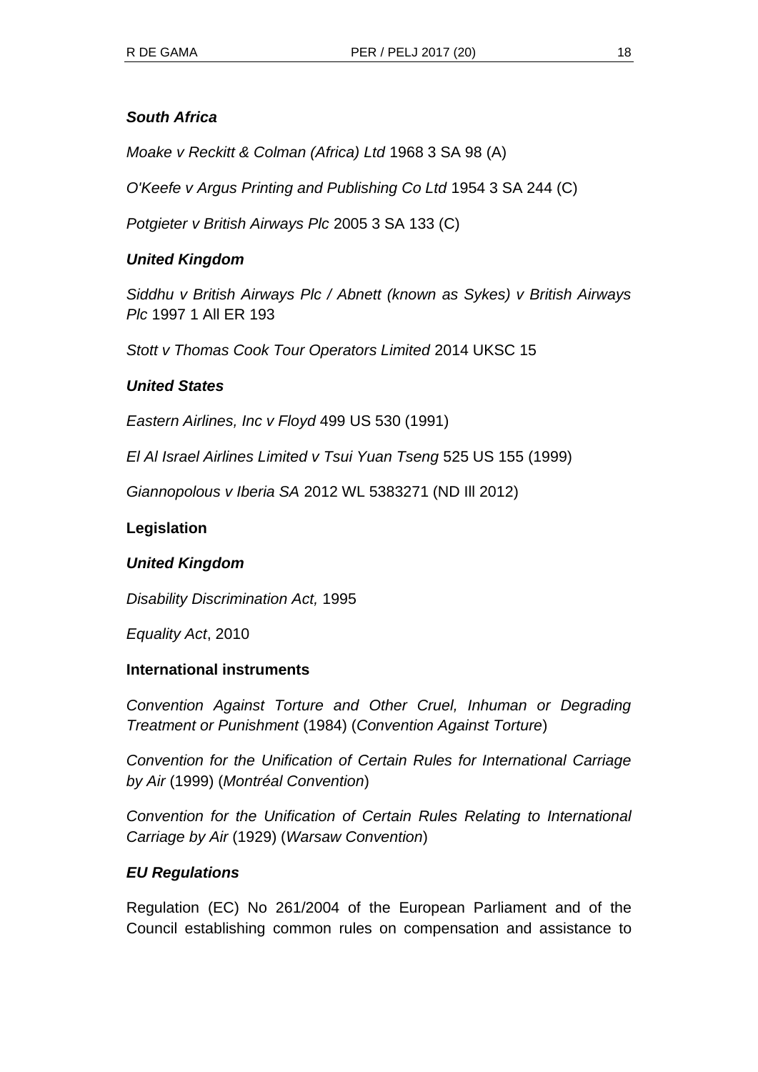#### *South Africa*

*Moake v Reckitt & Colman (Africa) Ltd* 1968 3 SA 98 (A)

*O'Keefe v Argus Printing and Publishing Co Ltd* 1954 3 SA 244 (C)

*Potgieter v British Airways Plc* 2005 3 SA 133 (C)

#### *United Kingdom*

*Siddhu v British Airways Plc / Abnett (known as Sykes) v British Airways Plc* 1997 1 All ER 193

*Stott v Thomas Cook Tour Operators Limited* 2014 UKSC 15

#### *United States*

*Eastern Airlines, Inc v Floyd* 499 US 530 (1991)

*El Al Israel Airlines Limited v Tsui Yuan Tseng* 525 US 155 (1999)

*Giannopolous v Iberia SA* 2012 WL 5383271 (ND Ill 2012)

#### **Legislation**

#### *United Kingdom*

*Disability Discrimination Act,* 1995

*Equality Act*, 2010

#### **International instruments**

*Convention Against Torture and Other Cruel, Inhuman or Degrading Treatment or Punishment* (1984) (*Convention Against Torture*)

*Convention for the Unification of Certain Rules for International Carriage by Air* (1999) (*Montréal Convention*)

*Convention for the Unification of Certain Rules Relating to International Carriage by Air* (1929) (*Warsaw Convention*)

#### *EU Regulations*

Regulation (EC) No 261/2004 of the European Parliament and of the Council establishing common rules on compensation and assistance to